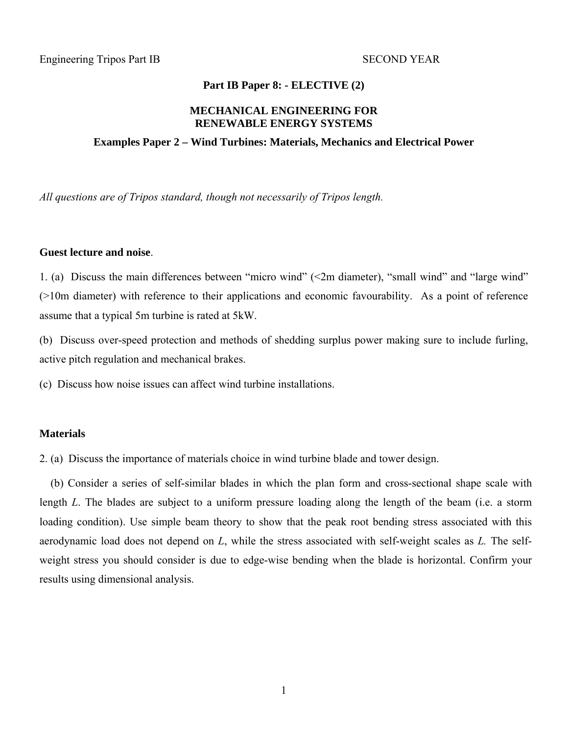### **Part IB Paper 8: - ELECTIVE (2)**

### **MECHANICAL ENGINEERING FOR RENEWABLE ENERGY SYSTEMS**

#### **Examples Paper 2 – Wind Turbines: Materials, Mechanics and Electrical Power**

*All questions are of Tripos standard, though not necessarily of Tripos length.* 

#### **Guest lecture and noise**.

1. (a) Discuss the main differences between "micro wind" (<2m diameter), "small wind" and "large wind" (>10m diameter) with reference to their applications and economic favourability. As a point of reference assume that a typical 5m turbine is rated at 5kW.

(b) Discuss over-speed protection and methods of shedding surplus power making sure to include furling, active pitch regulation and mechanical brakes.

(c) Discuss how noise issues can affect wind turbine installations.

### **Materials**

2. (a) Discuss the importance of materials choice in wind turbine blade and tower design.

 (b) Consider a series of self-similar blades in which the plan form and cross-sectional shape scale with length *L*. The blades are subject to a uniform pressure loading along the length of the beam (i.e. a storm loading condition). Use simple beam theory to show that the peak root bending stress associated with this aerodynamic load does not depend on *L*, while the stress associated with self-weight scales as *L.* The selfweight stress you should consider is due to edge-wise bending when the blade is horizontal. Confirm your results using dimensional analysis.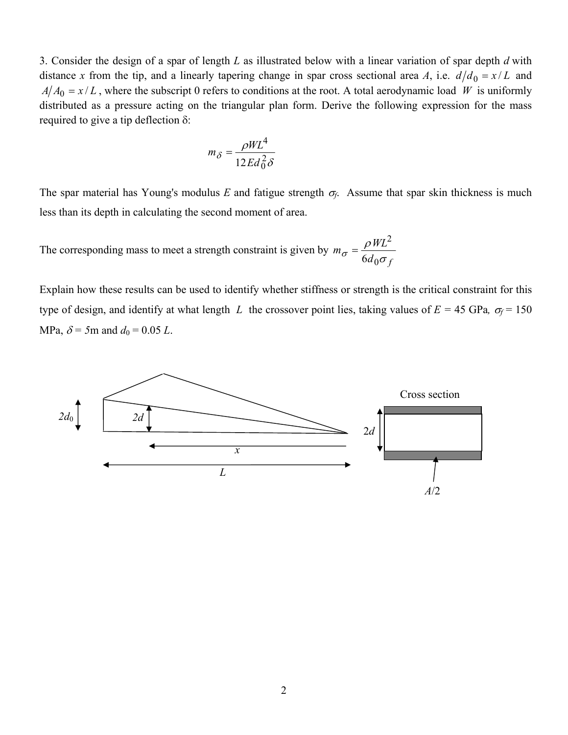3. Consider the design of a spar of length *L* as illustrated below with a linear variation of spar depth *d* with distance *x* from the tip, and a linearly tapering change in spar cross sectional area *A*, i.e.  $d/d_0 = x/L$  and  $A/A_0 = x/L$ , where the subscript 0 refers to conditions at the root. A total aerodynamic load *W* is uniformly distributed as a pressure acting on the triangular plan form. Derive the following expression for the mass required to give a tip deflection δ:

$$
m_\delta = \frac{\rho W L^4}{12 E d_0^2 \delta}
$$

The spar material has Young's modulus *E* and fatigue strength  $\sigma_f$ . Assume that spar skin thickness is much less than its depth in calculating the second moment of area.

The corresponding mass to meet a strength constraint is given by  $m_{\sigma} = \frac{\rho W L^2}{6 d_0 \sigma_f}$ ρ  $\sigma$   $\sigma$   $6d_0$ 2  $=\frac{1}{6}$ 

Explain how these results can be used to identify whether stiffness or strength is the critical constraint for this type of design, and identify at what length *L* the crossover point lies, taking values of  $E = 45$  GPa,  $\sigma_f = 150$ MPa,  $\delta$  = 5m and  $d_0$  = 0.05 *L*.

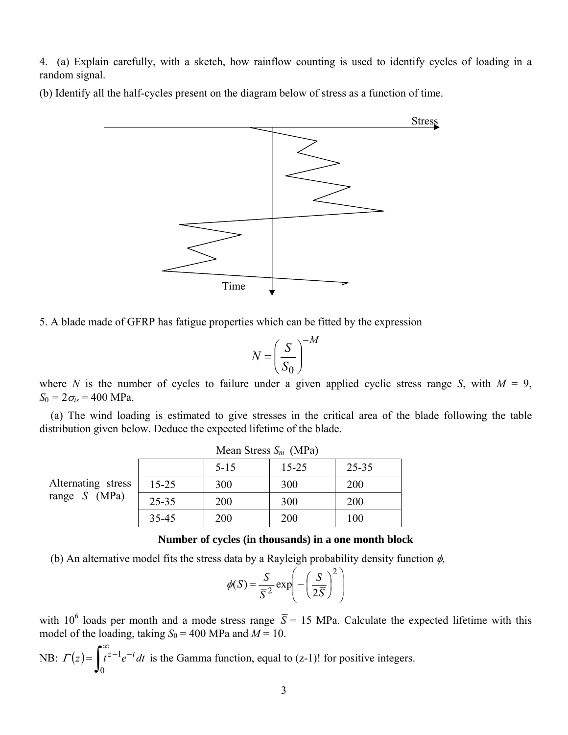4. (a) Explain carefully, with a sketch, how rainflow counting is used to identify cycles of loading in a random signal.

(b) Identify all the half-cycles present on the diagram below of stress as a function of time.



5. A blade made of GFRP has fatigue properties which can be fitted by the expression

$$
N = \left(\frac{S}{S_0}\right)^{-M}
$$

where *N* is the number of cycles to failure under a given applied cyclic stress range *S*, with  $M = 9$ ,  $S_0 = 2\sigma_{ts} = 400 \text{ MPa}.$ 

 (a) The wind loading is estimated to give stresses in the critical area of the blade following the table distribution given below. Deduce the expected lifetime of the blade.

|                                     |           | Mean Stress $S_m$ (MPa) |           |           |
|-------------------------------------|-----------|-------------------------|-----------|-----------|
|                                     |           | $5 - 15$                | $15 - 25$ | $25 - 35$ |
| Alternating stress<br>range S (MPa) | $15 - 25$ | 300                     | 300       | 200       |
|                                     | $25 - 35$ | 200                     | 300       | 200       |
|                                     | 35-45     | 200                     | 200       | 100       |

**Number of cycles (in thousands) in a one month block** 

(b) An alternative model fits the stress data by a Rayleigh probability density function  $\phi$ ,

$$
\phi(S) = \frac{S}{\overline{S}^2} \exp\left(-\left(\frac{S}{2\overline{S}}\right)^2\right)
$$

with 10<sup>6</sup> loads per month and a mode stress range  $\overline{S}$  = 15 MPa. Calculate the expected lifetime with this model of the loading, taking  $S_0 = 400$  MPa and  $M = 10$ .

NB: 
$$
\Gamma(z) = \int_0^\infty t^{z-1} e^{-t} dt
$$
 is the Gamma function, equal to (z-1)! for positive integers.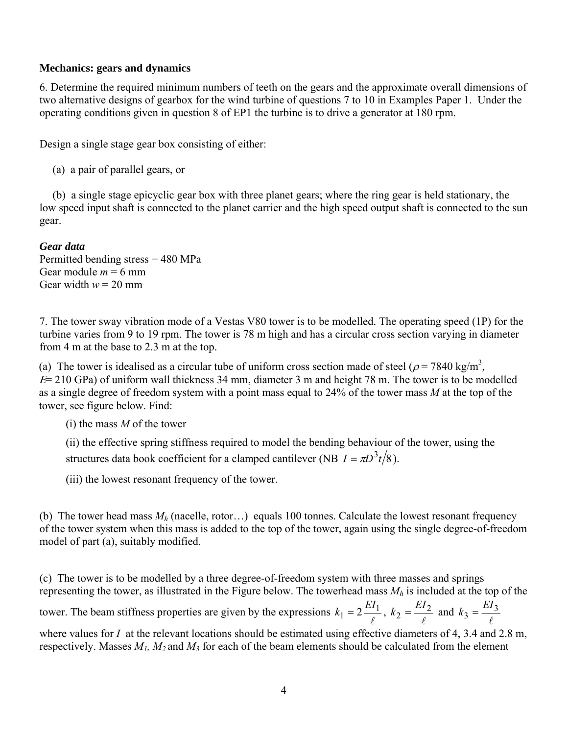# **Mechanics: gears and dynamics**

6. Determine the required minimum numbers of teeth on the gears and the approximate overall dimensions of two alternative designs of gearbox for the wind turbine of questions 7 to 10 in Examples Paper 1. Under the operating conditions given in question 8 of EP1 the turbine is to drive a generator at 180 rpm.

Design a single stage gear box consisting of either:

(a) a pair of parallel gears, or

 (b) a single stage epicyclic gear box with three planet gears; where the ring gear is held stationary, the low speed input shaft is connected to the planet carrier and the high speed output shaft is connected to the sun gear.

*Gear data* 

Permitted bending stress = 480 MPa Gear module  $m = 6$  mm Gear width  $w = 20$  mm

7. The tower sway vibration mode of a Vestas V80 tower is to be modelled. The operating speed (1P) for the turbine varies from 9 to 19 rpm. The tower is 78 m high and has a circular cross section varying in diameter from 4 m at the base to 2.3 m at the top.

(a) The tower is idealised as a circular tube of uniform cross section made of steel ( $\rho$  = 7840 kg/m<sup>3</sup>,  $E= 210$  GPa) of uniform wall thickness 34 mm, diameter 3 m and height 78 m. The tower is to be modelled as a single degree of freedom system with a point mass equal to 24% of the tower mass *M* at the top of the tower, see figure below. Find:

(i) the mass *M* of the tower

(ii) the effective spring stiffness required to model the bending behaviour of the tower, using the structures data book coefficient for a clamped cantilever (NB  $I = \pi D^3 t/8$ ).

(iii) the lowest resonant frequency of the tower.

(b) The tower head mass *Mh* (nacelle, rotor…) equals 100 tonnes. Calculate the lowest resonant frequency of the tower system when this mass is added to the top of the tower, again using the single degree-of-freedom model of part (a), suitably modified.

(c) The tower is to be modelled by a three degree-of-freedom system with three masses and springs representing the tower, as illustrated in the Figure below. The towerhead mass *Mh* is included at the top of the tower. The beam stiffness properties are given by the expressions  $k_1 = 2 \frac{EI_1}{\ell}$ ,  $k_2 = \frac{EI_2}{\ell}$  and  $\ell$  $k_3 = \frac{EI_3}{6}$ 

where values for *I* at the relevant locations should be estimated using effective diameters of 4, 3.4 and 2.8 m, respectively. Masses *M1, M2* and *M3* for each of the beam elements should be calculated from the element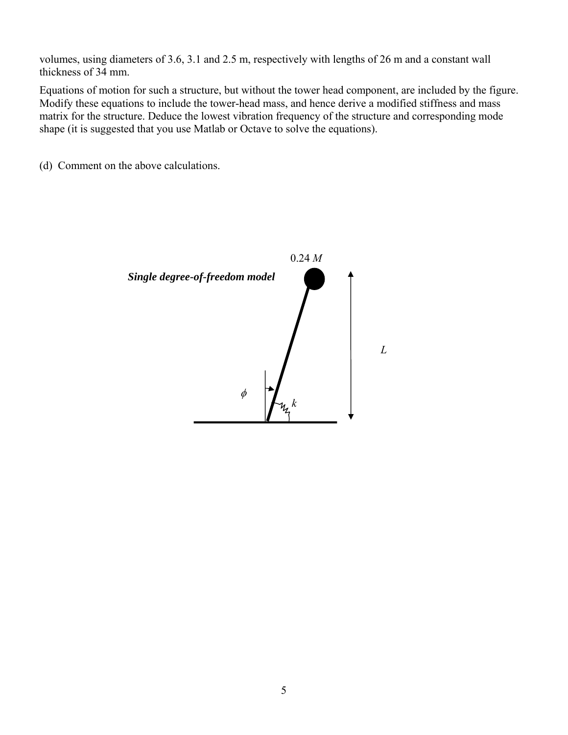volumes, using diameters of 3.6, 3.1 and 2.5 m, respectively with lengths of 26 m and a constant wall thickness of 34 mm.

Equations of motion for such a structure, but without the tower head component, are included by the figure. Modify these equations to include the tower-head mass, and hence derive a modified stiffness and mass matrix for the structure. Deduce the lowest vibration frequency of the structure and corresponding mode shape (it is suggested that you use Matlab or Octave to solve the equations).

(d) Comment on the above calculations.

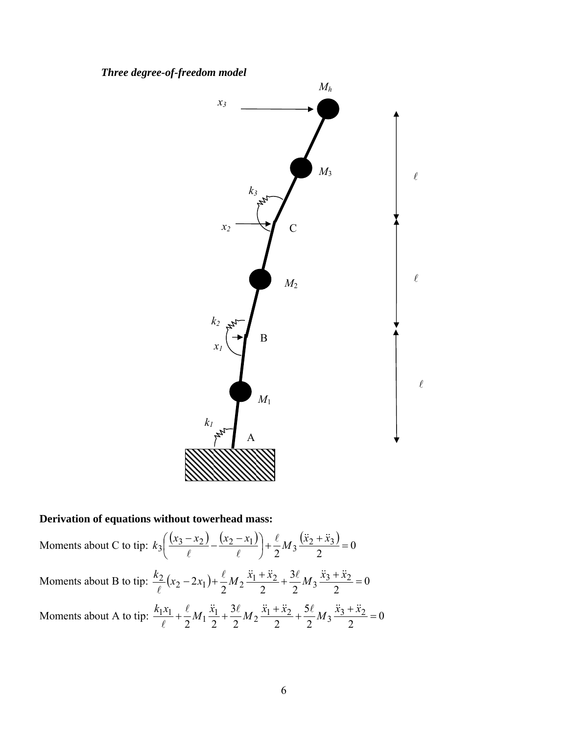*Three degree-of-freedom model* 



# **Derivation of equations without towerhead mass:**

Moments about C to tip:  $k_3 \left( \frac{(x_3 - x_2)}{(x_3 - x_1)} - \frac{(x_2 - x_1)}{(x_2 + x_3)} \right) + \frac{\ell}{2} M_3 \frac{(\ddot{x}_2 + \ddot{x}_3)}{2} = 0$  $2^{13}$  2  $3\left(\frac{(x_3-x_2)}{6}-\frac{(x_2-x_1)}{6}\right)+\frac{\ell}{2}M_3\frac{(\ddot{x}_2+\ddot{x}_3)}{2}=$ ⎠  $\left(\frac{(x_3 - x_2)}{2} - \frac{(x_2 - x_1)}{2}\right)$ ⎝  $k_3\left(\frac{(x_3-x_2)}{(x_2-x_1)}-\frac{(x_2-x_1)}{(x_2+x_1)}\right)+\frac{\ell}{2}M_3\frac{(x_2+x_1)^2}{(x_2-x_1)^2}$  $\ell$   $\ell$ Moments about B to tip:  $\frac{x_2}{2}(x_2 - 2x_1) + \frac{y_1}{2}M_2 \frac{x_1 + x_2}{2} + \frac{y_2}{2}M_3 \frac{x_3 + x_2}{2} = 0$  $2^{2}$   $2$ 3  $2^{\frac{n-2}{2}}$  2  $\frac{k_2}{\sqrt{2}}(x_2 - 2x_1) + \frac{\ell}{2}M_2 \frac{\ddot{x}_1 + \ddot{x}_2}{2} + \frac{3\ell}{2}M_3 \frac{\ddot{x}_3 + \ddot{x}_2}{2} =$  $\ell$ Moments about A to tip:  $\frac{n_1x_1}{a} + \frac{x_1}{a}M_1\frac{x_1}{b} + \frac{x_2}{a}M_2\frac{x_1+x_2}{b} + \frac{x_3}{a}M_3\frac{x_3+x_2}{b} = 0$  $2 \begin{array}{c} 2 \end{array}$  2 5  $2^{n^2}$  2 3  $2^{n_1}$  2  $\frac{k_1x_1}{(n+1)^2} + \frac{\ell}{2}M_1\frac{\ddot{x}_1}{2} + \frac{3\ell}{2}M_2\frac{\ddot{x}_1 + \ddot{x}_2}{2} + \frac{5\ell}{2}M_3\frac{\ddot{x}_3 + \ddot{x}_2}{2} =$  $\ell$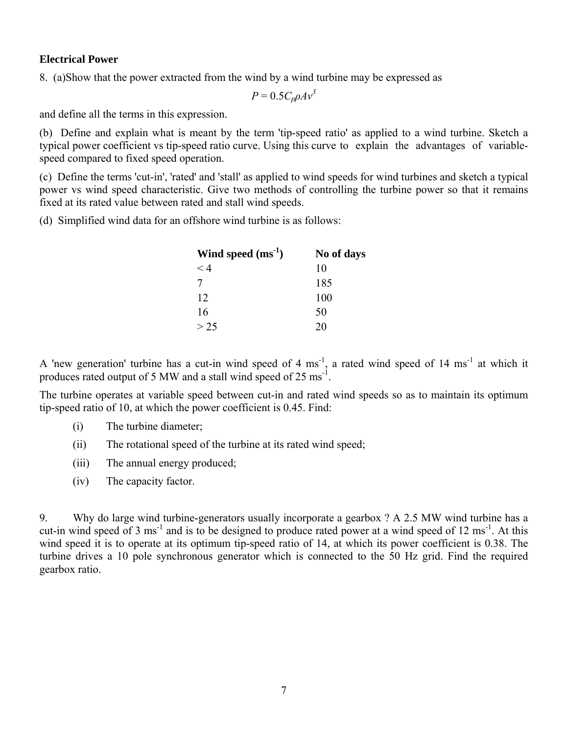# **Electrical Power**

8. (a)Show that the power extracted from the wind by a wind turbine may be expressed as

 $P = 0.5C_p\rho A v^3$ 

and define all the terms in this expression.

(b) Define and explain what is meant by the term 'tip-speed ratio' as applied to a wind turbine. Sketch a typical power coefficient vs tip-speed ratio curve. Using this curve to explain the advantages of variablespeed compared to fixed speed operation.

(c) Define the terms 'cut-in', 'rated' and 'stall' as applied to wind speeds for wind turbines and sketch a typical power vs wind speed characteristic. Give two methods of controlling the turbine power so that it remains fixed at its rated value between rated and stall wind speeds.

(d) Simplified wind data for an offshore wind turbine is as follows:

| Wind speed $(ms^{-1})$ | No of days |
|------------------------|------------|
| $<$ 4                  | 10         |
| 7                      | 185        |
| 12                     | 100        |
| 16                     | 50         |
| > 25                   | 20         |

A 'new generation' turbine has a cut-in wind speed of 4  $\text{ms}^{-1}$ , a rated wind speed of 14  $\text{ms}^{-1}$  at which it produces rated output of 5 MW and a stall wind speed of 25  $\text{ms}^{-1}$ .

The turbine operates at variable speed between cut-in and rated wind speeds so as to maintain its optimum tip-speed ratio of 10, at which the power coefficient is 0.45. Find:

- (i) The turbine diameter;
- (ii) The rotational speed of the turbine at its rated wind speed;
- (iii) The annual energy produced;
- (iv) The capacity factor.

9. Why do large wind turbine-generators usually incorporate a gearbox ? A 2.5 MW wind turbine has a cut-in wind speed of 3 ms<sup>-1</sup> and is to be designed to produce rated power at a wind speed of 12 ms<sup>-1</sup>. At this wind speed it is to operate at its optimum tip-speed ratio of 14, at which its power coefficient is 0.38. The turbine drives a 10 pole synchronous generator which is connected to the 50 Hz grid. Find the required gearbox ratio.